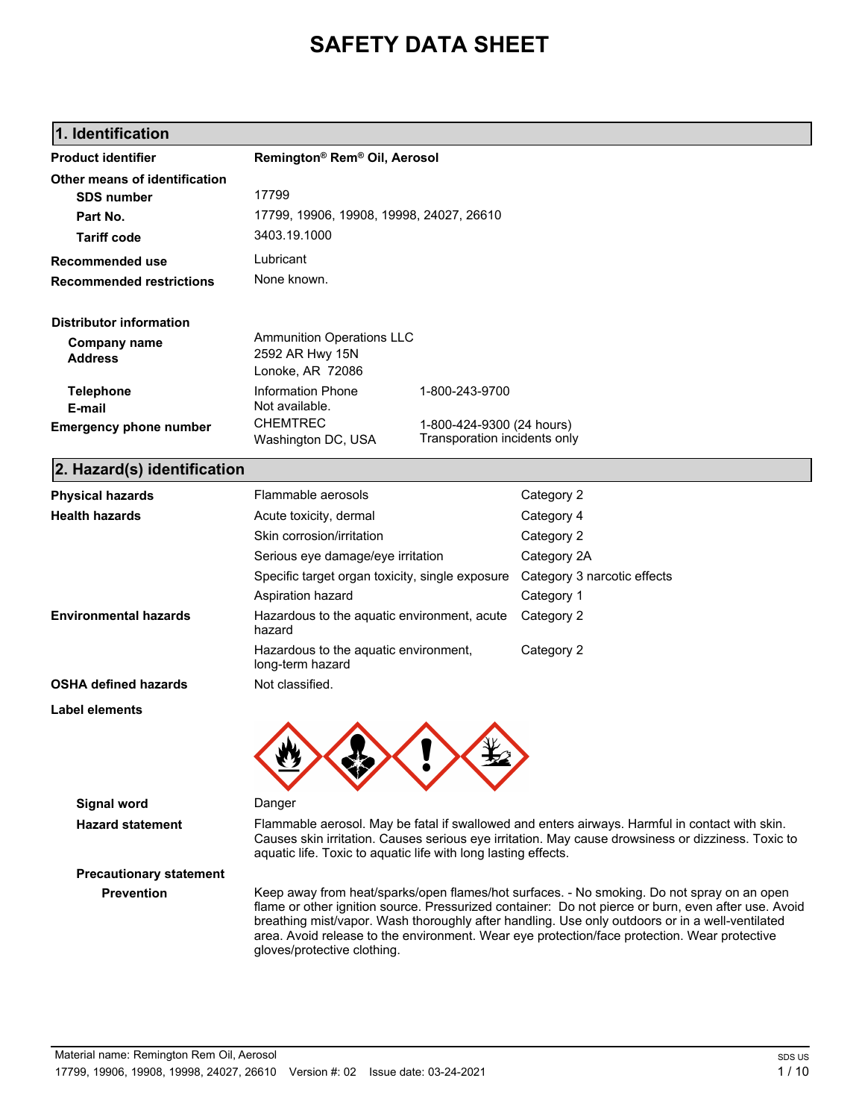# **SAFETY DATA SHEET**

# **1. Identification**

| <b>Product identifier</b>             | Remington® Rem® Oil, Aerosol                                                                                                                                                                                                                                                                                                                                                                                                        |                                                           |                             |
|---------------------------------------|-------------------------------------------------------------------------------------------------------------------------------------------------------------------------------------------------------------------------------------------------------------------------------------------------------------------------------------------------------------------------------------------------------------------------------------|-----------------------------------------------------------|-----------------------------|
| Other means of identification         |                                                                                                                                                                                                                                                                                                                                                                                                                                     |                                                           |                             |
| <b>SDS number</b>                     | 17799                                                                                                                                                                                                                                                                                                                                                                                                                               |                                                           |                             |
| Part No.                              | 17799, 19906, 19908, 19998, 24027, 26610                                                                                                                                                                                                                                                                                                                                                                                            |                                                           |                             |
| <b>Tariff code</b>                    | 3403.19.1000                                                                                                                                                                                                                                                                                                                                                                                                                        |                                                           |                             |
| Recommended use                       | Lubricant                                                                                                                                                                                                                                                                                                                                                                                                                           |                                                           |                             |
| <b>Recommended restrictions</b>       | None known.                                                                                                                                                                                                                                                                                                                                                                                                                         |                                                           |                             |
| <b>Distributor information</b>        |                                                                                                                                                                                                                                                                                                                                                                                                                                     |                                                           |                             |
| <b>Company name</b><br><b>Address</b> | <b>Ammunition Operations LLC</b><br>2592 AR Hwy 15N<br>Lonoke, AR 72086                                                                                                                                                                                                                                                                                                                                                             |                                                           |                             |
| <b>Telephone</b><br>E-mail            | <b>Information Phone</b><br>Not available.                                                                                                                                                                                                                                                                                                                                                                                          | 1-800-243-9700                                            |                             |
| <b>Emergency phone number</b>         | <b>CHEMTREC</b><br>Washington DC, USA                                                                                                                                                                                                                                                                                                                                                                                               | 1-800-424-9300 (24 hours)<br>Transporation incidents only |                             |
| 2. Hazard(s) identification           |                                                                                                                                                                                                                                                                                                                                                                                                                                     |                                                           |                             |
| <b>Physical hazards</b>               | Flammable aerosols                                                                                                                                                                                                                                                                                                                                                                                                                  |                                                           | Category 2                  |
| <b>Health hazards</b>                 | Acute toxicity, dermal                                                                                                                                                                                                                                                                                                                                                                                                              |                                                           | Category 4                  |
|                                       | Skin corrosion/irritation                                                                                                                                                                                                                                                                                                                                                                                                           |                                                           | Category 2                  |
|                                       | Serious eye damage/eye irritation                                                                                                                                                                                                                                                                                                                                                                                                   |                                                           | Category 2A                 |
|                                       | Specific target organ toxicity, single exposure                                                                                                                                                                                                                                                                                                                                                                                     |                                                           | Category 3 narcotic effects |
|                                       | Aspiration hazard                                                                                                                                                                                                                                                                                                                                                                                                                   |                                                           | Category 1                  |
| <b>Environmental hazards</b>          | Hazardous to the aquatic environment, acute<br>hazard                                                                                                                                                                                                                                                                                                                                                                               |                                                           | Category 2                  |
|                                       | Hazardous to the aquatic environment,<br>long-term hazard                                                                                                                                                                                                                                                                                                                                                                           |                                                           | Category 2                  |
| <b>OSHA defined hazards</b>           | Not classified.                                                                                                                                                                                                                                                                                                                                                                                                                     |                                                           |                             |
| Label elements                        |                                                                                                                                                                                                                                                                                                                                                                                                                                     |                                                           |                             |
|                                       |                                                                                                                                                                                                                                                                                                                                                                                                                                     |                                                           |                             |
| <b>Signal word</b>                    | Danger                                                                                                                                                                                                                                                                                                                                                                                                                              |                                                           |                             |
| <b>Hazard statement</b>               | Flammable aerosol. May be fatal if swallowed and enters airways. Harmful in contact with skin.<br>Causes skin irritation. Causes serious eye irritation. May cause drowsiness or dizziness. Toxic to<br>aquatic life. Toxic to aquatic life with long lasting effects.                                                                                                                                                              |                                                           |                             |
| <b>Precautionary statement</b>        |                                                                                                                                                                                                                                                                                                                                                                                                                                     |                                                           |                             |
| <b>Prevention</b>                     | Keep away from heat/sparks/open flames/hot surfaces. - No smoking. Do not spray on an open<br>flame or other ignition source. Pressurized container: Do not pierce or burn, even after use. Avoid<br>breathing mist/vapor. Wash thoroughly after handling. Use only outdoors or in a well-ventilated<br>area. Avoid release to the environment. Wear eye protection/face protection. Wear protective<br>gloves/protective clothing. |                                                           |                             |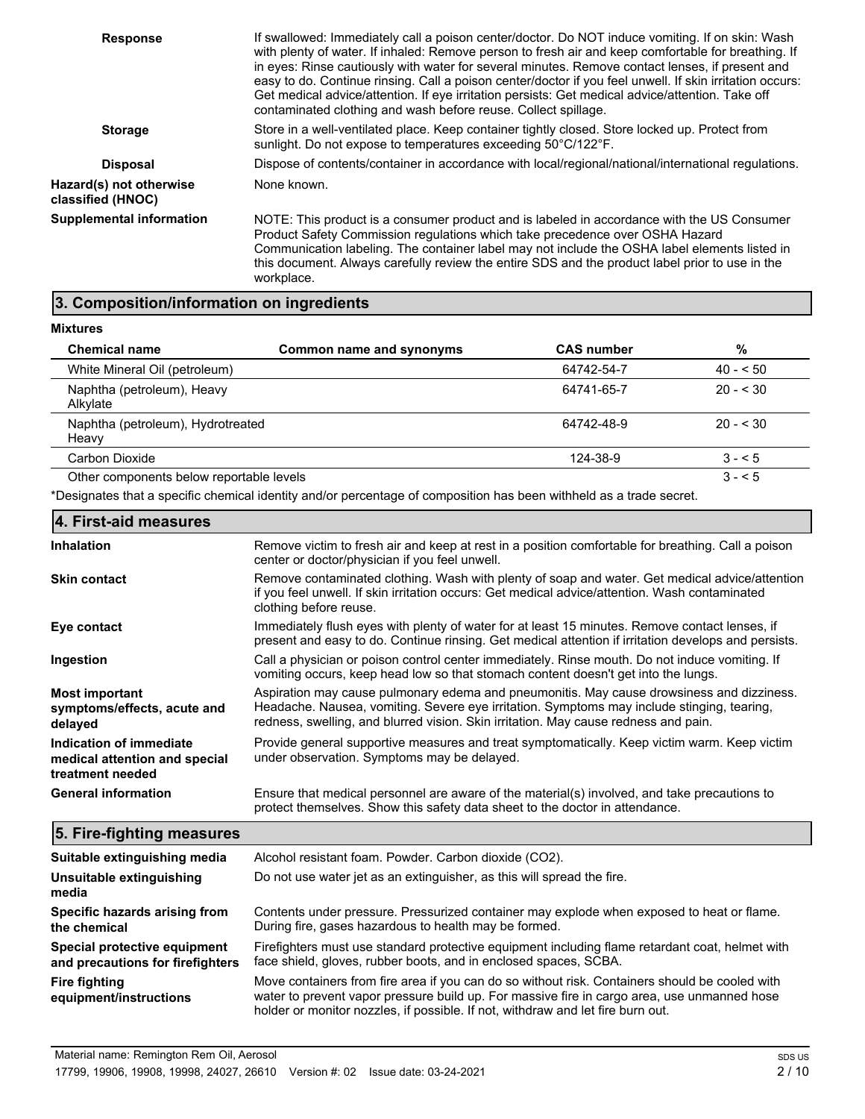| <b>Response</b>                              | If swallowed: Immediately call a poison center/doctor. Do NOT induce vomiting. If on skin: Wash<br>with plenty of water. If inhaled: Remove person to fresh air and keep comfortable for breathing. If<br>in eyes: Rinse cautiously with water for several minutes. Remove contact lenses, if present and<br>easy to do. Continue rinsing. Call a poison center/doctor if you feel unwell. If skin irritation occurs:<br>Get medical advice/attention. If eye irritation persists: Get medical advice/attention. Take off<br>contaminated clothing and wash before reuse. Collect spillage. |
|----------------------------------------------|---------------------------------------------------------------------------------------------------------------------------------------------------------------------------------------------------------------------------------------------------------------------------------------------------------------------------------------------------------------------------------------------------------------------------------------------------------------------------------------------------------------------------------------------------------------------------------------------|
| <b>Storage</b>                               | Store in a well-ventilated place. Keep container tightly closed. Store locked up. Protect from<br>sunlight. Do not expose to temperatures exceeding 50°C/122°F.                                                                                                                                                                                                                                                                                                                                                                                                                             |
| <b>Disposal</b>                              | Dispose of contents/container in accordance with local/regional/national/international regulations.                                                                                                                                                                                                                                                                                                                                                                                                                                                                                         |
| Hazard(s) not otherwise<br>classified (HNOC) | None known.                                                                                                                                                                                                                                                                                                                                                                                                                                                                                                                                                                                 |
| <b>Supplemental information</b>              | NOTE: This product is a consumer product and is labeled in accordance with the US Consumer<br>Product Safety Commission regulations which take precedence over OSHA Hazard<br>Communication labeling. The container label may not include the OSHA label elements listed in<br>this document. Always carefully review the entire SDS and the product label prior to use in the<br>workplace.                                                                                                                                                                                                |

### **3. Composition/information on ingredients**

**Mixtures**

**the chemical**

| <b>Chemical name</b>                       | Common name and synonyms | <b>CAS number</b> | %         |
|--------------------------------------------|--------------------------|-------------------|-----------|
| White Mineral Oil (petroleum)              |                          | 64742-54-7        | $40 - 50$ |
| Naphtha (petroleum), Heavy<br>Alkylate     |                          | 64741-65-7        | $20 - 30$ |
| Naphtha (petroleum), Hydrotreated<br>Heavy |                          | 64742-48-9        | $20 - 30$ |
| Carbon Dioxide                             |                          | 124-38-9          | $3 - 5$   |
| Other components below reportable levels   |                          |                   | $3 - 5$   |

\*Designates that a specific chemical identity and/or percentage of composition has been withheld as a trade secret.

| 4. First-aid measures                                                        |                                                                                                                                                                                                                                                                                |
|------------------------------------------------------------------------------|--------------------------------------------------------------------------------------------------------------------------------------------------------------------------------------------------------------------------------------------------------------------------------|
| <b>Inhalation</b>                                                            | Remove victim to fresh air and keep at rest in a position comfortable for breathing. Call a poison<br>center or doctor/physician if you feel unwell.                                                                                                                           |
| <b>Skin contact</b>                                                          | Remove contaminated clothing. Wash with plenty of soap and water. Get medical advice/attention<br>if you feel unwell. If skin irritation occurs: Get medical advice/attention. Wash contaminated<br>clothing before reuse.                                                     |
| Eye contact                                                                  | Immediately flush eyes with plenty of water for at least 15 minutes. Remove contact lenses, if<br>present and easy to do. Continue rinsing. Get medical attention if irritation develops and persists.                                                                         |
| Ingestion                                                                    | Call a physician or poison control center immediately. Rinse mouth. Do not induce vomiting. If<br>vomiting occurs, keep head low so that stomach content doesn't get into the lungs.                                                                                           |
| <b>Most important</b><br>symptoms/effects, acute and<br>delayed              | Aspiration may cause pulmonary edema and pneumonitis. May cause drowsiness and dizziness.<br>Headache. Nausea, vomiting. Severe eye irritation. Symptoms may include stinging, tearing,<br>redness, swelling, and blurred vision. Skin irritation. May cause redness and pain. |
| Indication of immediate<br>medical attention and special<br>treatment needed | Provide general supportive measures and treat symptomatically. Keep victim warm. Keep victim<br>under observation. Symptoms may be delayed.                                                                                                                                    |
| <b>General information</b>                                                   | Ensure that medical personnel are aware of the material(s) involved, and take precautions to<br>protect themselves. Show this safety data sheet to the doctor in attendance.                                                                                                   |
| 5. Fire-fighting measures                                                    |                                                                                                                                                                                                                                                                                |
| Suitable extinguishing media                                                 | Alcohol resistant foam. Powder. Carbon dioxide (CO2).                                                                                                                                                                                                                          |
| Unsuitable extinguishing<br>media                                            | Do not use water jet as an extinguisher, as this will spread the fire.                                                                                                                                                                                                         |
| Specific hazards arising from                                                | Contents under pressure. Pressurized container may explode when exposed to heat or flame.                                                                                                                                                                                      |

During fire, gases hazardous to health may be formed.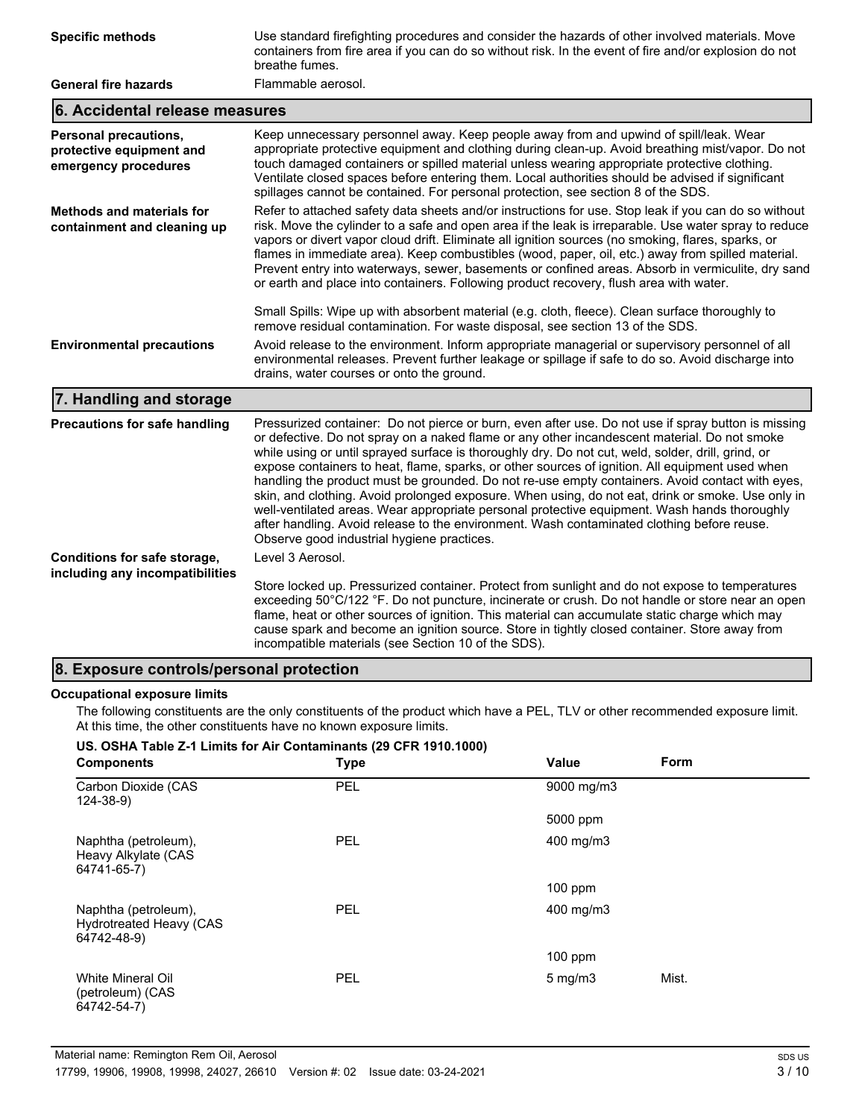| <b>Specific methods</b>                                                   | Use standard firefighting procedures and consider the hazards of other involved materials. Move<br>containers from fire area if you can do so without risk. In the event of fire and/or explosion do not<br>breathe fumes.                                                                                                                                                                                                                                                                                                                                                                                                                                                                                                                                                                                                                                       |  |  |
|---------------------------------------------------------------------------|------------------------------------------------------------------------------------------------------------------------------------------------------------------------------------------------------------------------------------------------------------------------------------------------------------------------------------------------------------------------------------------------------------------------------------------------------------------------------------------------------------------------------------------------------------------------------------------------------------------------------------------------------------------------------------------------------------------------------------------------------------------------------------------------------------------------------------------------------------------|--|--|
| <b>General fire hazards</b>                                               | Flammable aerosol.                                                                                                                                                                                                                                                                                                                                                                                                                                                                                                                                                                                                                                                                                                                                                                                                                                               |  |  |
| 6. Accidental release measures                                            |                                                                                                                                                                                                                                                                                                                                                                                                                                                                                                                                                                                                                                                                                                                                                                                                                                                                  |  |  |
| Personal precautions,<br>protective equipment and<br>emergency procedures | Keep unnecessary personnel away. Keep people away from and upwind of spill/leak. Wear<br>appropriate protective equipment and clothing during clean-up. Avoid breathing mist/vapor. Do not<br>touch damaged containers or spilled material unless wearing appropriate protective clothing.<br>Ventilate closed spaces before entering them. Local authorities should be advised if significant<br>spillages cannot be contained. For personal protection, see section 8 of the SDS.                                                                                                                                                                                                                                                                                                                                                                              |  |  |
| <b>Methods and materials for</b><br>containment and cleaning up           | Refer to attached safety data sheets and/or instructions for use. Stop leak if you can do so without<br>risk. Move the cylinder to a safe and open area if the leak is irreparable. Use water spray to reduce<br>vapors or divert vapor cloud drift. Eliminate all ignition sources (no smoking, flares, sparks, or<br>flames in immediate area). Keep combustibles (wood, paper, oil, etc.) away from spilled material.<br>Prevent entry into waterways, sewer, basements or confined areas. Absorb in vermiculite, dry sand<br>or earth and place into containers. Following product recovery, flush area with water.                                                                                                                                                                                                                                          |  |  |
|                                                                           | Small Spills: Wipe up with absorbent material (e.g. cloth, fleece). Clean surface thoroughly to<br>remove residual contamination. For waste disposal, see section 13 of the SDS.                                                                                                                                                                                                                                                                                                                                                                                                                                                                                                                                                                                                                                                                                 |  |  |
| <b>Environmental precautions</b>                                          | Avoid release to the environment. Inform appropriate managerial or supervisory personnel of all<br>environmental releases. Prevent further leakage or spillage if safe to do so. Avoid discharge into<br>drains, water courses or onto the ground.                                                                                                                                                                                                                                                                                                                                                                                                                                                                                                                                                                                                               |  |  |
| 7. Handling and storage                                                   |                                                                                                                                                                                                                                                                                                                                                                                                                                                                                                                                                                                                                                                                                                                                                                                                                                                                  |  |  |
| <b>Precautions for safe handling</b>                                      | Pressurized container: Do not pierce or burn, even after use. Do not use if spray button is missing<br>or defective. Do not spray on a naked flame or any other incandescent material. Do not smoke<br>while using or until sprayed surface is thoroughly dry. Do not cut, weld, solder, drill, grind, or<br>expose containers to heat, flame, sparks, or other sources of ignition. All equipment used when<br>handling the product must be grounded. Do not re-use empty containers. Avoid contact with eyes,<br>skin, and clothing. Avoid prolonged exposure. When using, do not eat, drink or smoke. Use only in<br>well-ventilated areas. Wear appropriate personal protective equipment. Wash hands thoroughly<br>after handling. Avoid release to the environment. Wash contaminated clothing before reuse.<br>Observe good industrial hygiene practices. |  |  |
| Conditions for safe storage,<br>including any incompatibilities           | Level 3 Aerosol.                                                                                                                                                                                                                                                                                                                                                                                                                                                                                                                                                                                                                                                                                                                                                                                                                                                 |  |  |
|                                                                           | Store locked up. Pressurized container. Protect from sunlight and do not expose to temperatures<br>exceeding 50°C/122 °F. Do not puncture, incinerate or crush. Do not handle or store near an open<br>flame, heat or other sources of ignition. This material can accumulate static charge which may<br>cause spark and become an ignition source. Store in tightly closed container. Store away from<br>incompatible materials (see Section 10 of the SDS).                                                                                                                                                                                                                                                                                                                                                                                                    |  |  |

## **8. Exposure controls/personal protection**

#### **Occupational exposure limits**

The following constituents are the only constituents of the product which have a PEL, TLV or other recommended exposure limit. At this time, the other constituents have no known exposure limits.

#### **US. OSHA Table Z-1 Limits for Air Contaminants (29 CFR 1910.1000)**

| <b>Components</b>                                              | <b>Type</b> | Form<br><b>Value</b>      |
|----------------------------------------------------------------|-------------|---------------------------|
| Carbon Dioxide (CAS<br>$124 - 38 - 9$                          | PEL         | 9000 mg/m3                |
|                                                                |             | 5000 ppm                  |
| Naphtha (petroleum),<br>Heavy Alkylate (CAS<br>64741-65-7)     | PEL         | $400$ mg/m $3$            |
|                                                                |             | $100$ ppm                 |
| Naphtha (petroleum),<br>Hydrotreated Heavy (CAS<br>64742-48-9) | <b>PEL</b>  | 400 mg/m3                 |
|                                                                |             | $100$ ppm                 |
| White Mineral Oil<br>(petroleum) (CAS<br>64742-54-7)           | PEL         | Mist.<br>$5 \text{ mg/m}$ |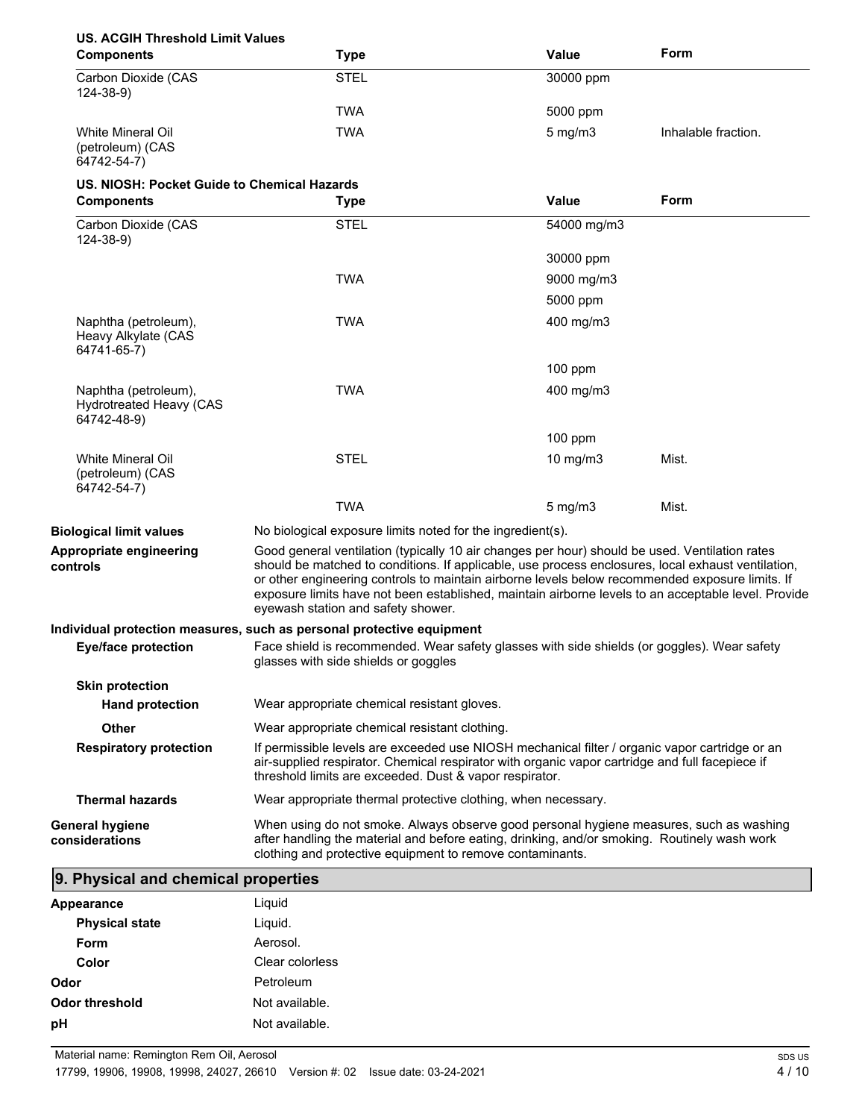## **US. ACGIH Threshold Limit Values**

| <b>Components</b>                                    | <b>Type</b> | Value            | Form                |
|------------------------------------------------------|-------------|------------------|---------------------|
| Carbon Dioxide (CAS<br>$124 - 38 - 9$                | <b>STEL</b> | 30000 ppm        |                     |
|                                                      | <b>TWA</b>  | 5000 ppm         |                     |
| White Mineral Oil<br>(petroleum) (CAS<br>64742-54-7) | <b>TWA</b>  | $5 \text{ mg/m}$ | Inhalable fraction. |

# **US. NIOSH: Pocket Guide to Chemical Hazards**

| <b>Components</b>                                                     | <b>Type</b>                                                                                                                                                                                                                                                                                                                                                                                                                                          | Value            | Form  |
|-----------------------------------------------------------------------|------------------------------------------------------------------------------------------------------------------------------------------------------------------------------------------------------------------------------------------------------------------------------------------------------------------------------------------------------------------------------------------------------------------------------------------------------|------------------|-------|
| Carbon Dioxide (CAS<br>$124 - 38 - 9$                                 | <b>STEL</b>                                                                                                                                                                                                                                                                                                                                                                                                                                          | 54000 mg/m3      |       |
|                                                                       |                                                                                                                                                                                                                                                                                                                                                                                                                                                      | 30000 ppm        |       |
|                                                                       | TWA                                                                                                                                                                                                                                                                                                                                                                                                                                                  | 9000 mg/m3       |       |
|                                                                       |                                                                                                                                                                                                                                                                                                                                                                                                                                                      | 5000 ppm         |       |
| Naphtha (petroleum),<br>Heavy Alkylate (CAS<br>64741-65-7)            | TWA                                                                                                                                                                                                                                                                                                                                                                                                                                                  | 400 mg/m3        |       |
|                                                                       |                                                                                                                                                                                                                                                                                                                                                                                                                                                      | 100 ppm          |       |
| Naphtha (petroleum),<br><b>Hydrotreated Heavy (CAS</b><br>64742-48-9) | TWA                                                                                                                                                                                                                                                                                                                                                                                                                                                  | 400 mg/m3        |       |
|                                                                       |                                                                                                                                                                                                                                                                                                                                                                                                                                                      | $100$ ppm        |       |
| <b>White Mineral Oil</b><br>(petroleum) (CAS<br>64742-54-7)           | <b>STEL</b>                                                                                                                                                                                                                                                                                                                                                                                                                                          | 10 mg/m3         | Mist. |
|                                                                       | TWA                                                                                                                                                                                                                                                                                                                                                                                                                                                  | $5 \text{ mg/m}$ | Mist. |
| <b>Biological limit values</b>                                        | No biological exposure limits noted for the ingredient(s).                                                                                                                                                                                                                                                                                                                                                                                           |                  |       |
| Appropriate engineering<br>controls                                   | Good general ventilation (typically 10 air changes per hour) should be used. Ventilation rates<br>should be matched to conditions. If applicable, use process enclosures, local exhaust ventilation,<br>or other engineering controls to maintain airborne levels below recommended exposure limits. If<br>exposure limits have not been established, maintain airborne levels to an acceptable level. Provide<br>eyewash station and safety shower. |                  |       |
|                                                                       | Individual protection measures, such as personal protective equipment                                                                                                                                                                                                                                                                                                                                                                                |                  |       |
| <b>Eye/face protection</b>                                            | Face shield is recommended. Wear safety glasses with side shields (or goggles). Wear safety<br>glasses with side shields or goggles                                                                                                                                                                                                                                                                                                                  |                  |       |
| <b>Skin protection</b>                                                |                                                                                                                                                                                                                                                                                                                                                                                                                                                      |                  |       |
| <b>Hand protection</b>                                                | Wear appropriate chemical resistant gloves.                                                                                                                                                                                                                                                                                                                                                                                                          |                  |       |
| Other                                                                 | Wear appropriate chemical resistant clothing.                                                                                                                                                                                                                                                                                                                                                                                                        |                  |       |
| <b>Respiratory protection</b>                                         | If permissible levels are exceeded use NIOSH mechanical filter / organic vapor cartridge or an<br>air-supplied respirator. Chemical respirator with organic vapor cartridge and full facepiece if<br>threshold limits are exceeded. Dust & vapor respirator.                                                                                                                                                                                         |                  |       |
| <b>Thermal hazards</b>                                                | Wear appropriate thermal protective clothing, when necessary.                                                                                                                                                                                                                                                                                                                                                                                        |                  |       |
| <b>General hygiene</b><br>considerations                              | When using do not smoke. Always observe good personal hygiene measures, such as washing<br>after handling the material and before eating, drinking, and/or smoking. Routinely wash work<br>clothing and protective equipment to remove contaminants.                                                                                                                                                                                                 |                  |       |

## **9. Physical and chemical properties**

| <b>Appearance</b>     | Liquid          |
|-----------------------|-----------------|
| <b>Physical state</b> | Liquid.         |
| Form                  | Aerosol.        |
| Color                 | Clear colorless |
| Odor                  | Petroleum       |
| Odor threshold        | Not available.  |
| pH                    | Not available.  |
|                       |                 |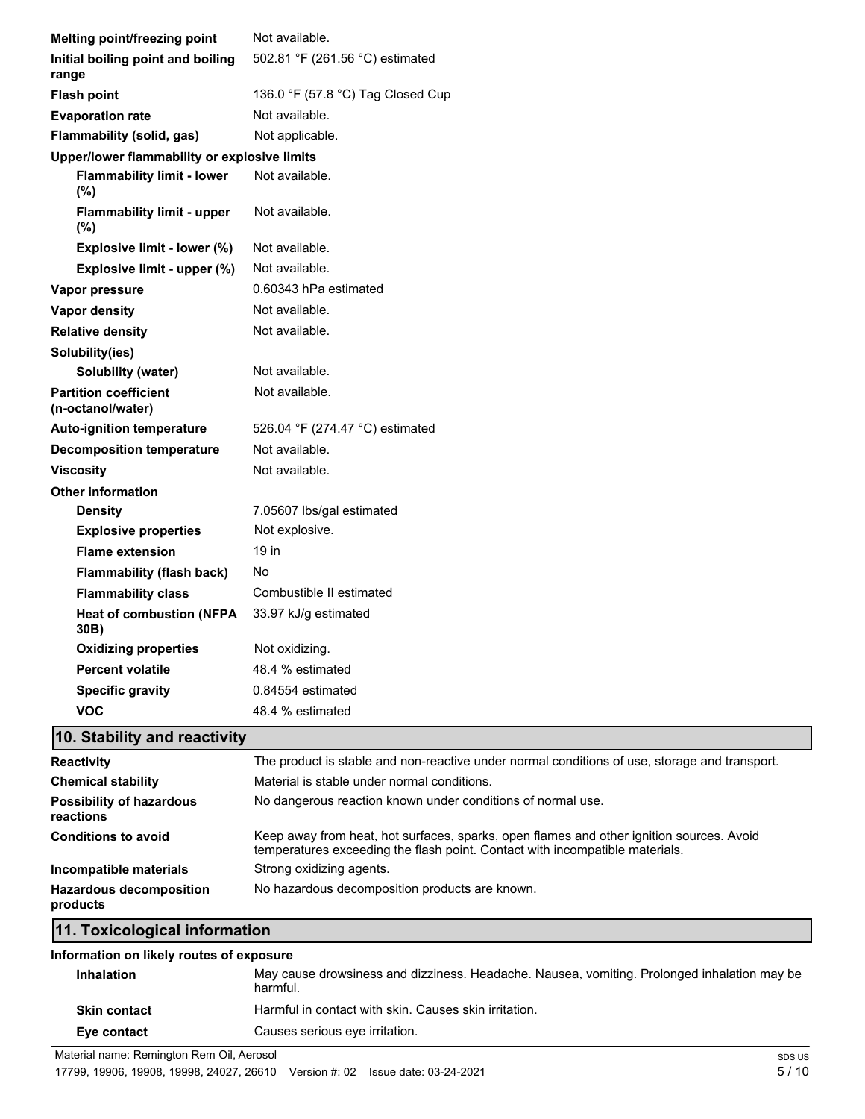| Melting point/freezing point                             | Not available.                    |
|----------------------------------------------------------|-----------------------------------|
| Initial boiling point and boiling<br>range               | 502.81 °F (261.56 °C) estimated   |
| <b>Flash point</b>                                       | 136.0 °F (57.8 °C) Tag Closed Cup |
| <b>Evaporation rate</b>                                  | Not available.                    |
| Flammability (solid, gas)                                | Not applicable.                   |
| Upper/lower flammability or explosive limits             |                                   |
| <b>Flammability limit - lower</b><br>(%)                 | Not available.                    |
| <b>Flammability limit - upper</b><br>(%)                 | Not available.                    |
| Explosive limit - lower (%)                              | Not available.                    |
| Explosive limit - upper (%)                              | Not available.                    |
| Vapor pressure                                           | 0.60343 hPa estimated             |
| Vapor density                                            | Not available.                    |
| <b>Relative density</b>                                  | Not available.                    |
| Solubility(ies)                                          |                                   |
| Solubility (water)                                       | Not available.                    |
| <b>Partition coefficient</b><br>(n-octanol/water)        | Not available.                    |
| Auto-ignition temperature                                | 526.04 °F (274.47 °C) estimated   |
| <b>Decomposition temperature</b>                         | Not available.                    |
| <b>Viscosity</b>                                         | Not available.                    |
| <b>Other information</b>                                 |                                   |
| <b>Density</b>                                           | 7.05607 lbs/gal estimated         |
| <b>Explosive properties</b>                              | Not explosive.                    |
| <b>Flame extension</b>                                   | 19 in                             |
| <b>Flammability (flash back)</b>                         | No                                |
| <b>Flammability class</b>                                | Combustible II estimated          |
| <b>Heat of combustion (NFPA</b><br>30B)                  | 33.97 kJ/g estimated              |
| <b>Oxidizing properties</b>                              | Not oxidizing.                    |
| <b>Percent volatile</b>                                  | 48.4 % estimated                  |
| <b>Specific gravity</b>                                  | 0.84554 estimated                 |
| <b>VOC</b>                                               | 48.4 % estimated                  |
| $\sim$ $\sim$ $\sim$<br>$\overline{\phantom{a}}$<br>- 14 |                                   |

#### **10. Stability and reactivity**

| <b>Reactivity</b>                            | The product is stable and non-reactive under normal conditions of use, storage and transport.                                                                            |  |
|----------------------------------------------|--------------------------------------------------------------------------------------------------------------------------------------------------------------------------|--|
| <b>Chemical stability</b>                    | Material is stable under normal conditions.                                                                                                                              |  |
| <b>Possibility of hazardous</b><br>reactions | No dangerous reaction known under conditions of normal use.                                                                                                              |  |
| <b>Conditions to avoid</b>                   | Keep away from heat, hot surfaces, sparks, open flames and other ignition sources. Avoid<br>temperatures exceeding the flash point. Contact with incompatible materials. |  |
| Incompatible materials                       | Strong oxidizing agents.                                                                                                                                                 |  |
| <b>Hazardous decomposition</b><br>products   | No hazardous decomposition products are known.                                                                                                                           |  |
| 11. Toxicological information                |                                                                                                                                                                          |  |

# **Information on likely routes of exposure Inhalation** May cause drowsiness and dizziness. Headache. Nausea, vomiting. Prolonged inhalation may be harmful. **Skin contact** Harmful in contact with skin. Causes skin irritation. **Eye contact** Causes serious eye irritation.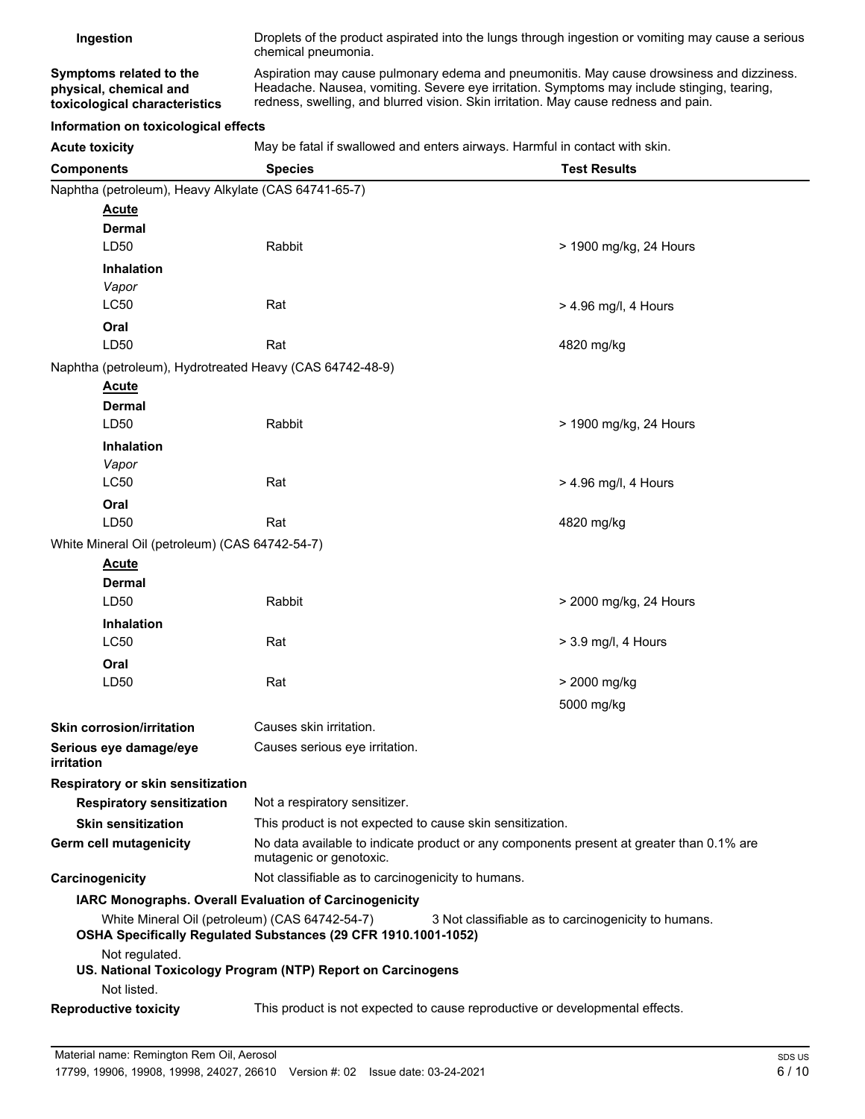| Ingestion                                                                          | Droplets of the product aspirated into the lungs through ingestion or vomiting may cause a serious<br>chemical pneumonia.                                                                                                                                                      |                                                                              |  |
|------------------------------------------------------------------------------------|--------------------------------------------------------------------------------------------------------------------------------------------------------------------------------------------------------------------------------------------------------------------------------|------------------------------------------------------------------------------|--|
| Symptoms related to the<br>physical, chemical and<br>toxicological characteristics | Aspiration may cause pulmonary edema and pneumonitis. May cause drowsiness and dizziness.<br>Headache. Nausea, vomiting. Severe eye irritation. Symptoms may include stinging, tearing,<br>redness, swelling, and blurred vision. Skin irritation. May cause redness and pain. |                                                                              |  |
| Information on toxicological effects                                               |                                                                                                                                                                                                                                                                                |                                                                              |  |
| <b>Acute toxicity</b>                                                              |                                                                                                                                                                                                                                                                                | May be fatal if swallowed and enters airways. Harmful in contact with skin.  |  |
| <b>Components</b>                                                                  | <b>Test Results</b><br><b>Species</b>                                                                                                                                                                                                                                          |                                                                              |  |
| Naphtha (petroleum), Heavy Alkylate (CAS 64741-65-7)                               |                                                                                                                                                                                                                                                                                |                                                                              |  |
| <b>Acute</b>                                                                       |                                                                                                                                                                                                                                                                                |                                                                              |  |
| Dermal                                                                             |                                                                                                                                                                                                                                                                                |                                                                              |  |
| LD50                                                                               | Rabbit                                                                                                                                                                                                                                                                         | > 1900 mg/kg, 24 Hours                                                       |  |
| <b>Inhalation</b>                                                                  |                                                                                                                                                                                                                                                                                |                                                                              |  |
| Vapor<br>LC50                                                                      | Rat                                                                                                                                                                                                                                                                            | $>$ 4.96 mg/l, 4 Hours                                                       |  |
| Oral                                                                               |                                                                                                                                                                                                                                                                                |                                                                              |  |
| LD <sub>50</sub>                                                                   | Rat                                                                                                                                                                                                                                                                            | 4820 mg/kg                                                                   |  |
| Naphtha (petroleum), Hydrotreated Heavy (CAS 64742-48-9)                           |                                                                                                                                                                                                                                                                                |                                                                              |  |
| <b>Acute</b>                                                                       |                                                                                                                                                                                                                                                                                |                                                                              |  |
| Dermal                                                                             |                                                                                                                                                                                                                                                                                |                                                                              |  |
| LD50                                                                               | Rabbit                                                                                                                                                                                                                                                                         | > 1900 mg/kg, 24 Hours                                                       |  |
| <b>Inhalation</b>                                                                  |                                                                                                                                                                                                                                                                                |                                                                              |  |
| Vapor                                                                              |                                                                                                                                                                                                                                                                                |                                                                              |  |
| LC50                                                                               | Rat                                                                                                                                                                                                                                                                            | $>$ 4.96 mg/l, 4 Hours                                                       |  |
| Oral                                                                               |                                                                                                                                                                                                                                                                                |                                                                              |  |
| LD50                                                                               | Rat                                                                                                                                                                                                                                                                            | 4820 mg/kg                                                                   |  |
| White Mineral Oil (petroleum) (CAS 64742-54-7)                                     |                                                                                                                                                                                                                                                                                |                                                                              |  |
| <b>Acute</b><br><b>Dermal</b>                                                      |                                                                                                                                                                                                                                                                                |                                                                              |  |
| LD <sub>50</sub>                                                                   | Rabbit                                                                                                                                                                                                                                                                         | > 2000 mg/kg, 24 Hours                                                       |  |
| Inhalation                                                                         |                                                                                                                                                                                                                                                                                |                                                                              |  |
| LC50                                                                               | Rat                                                                                                                                                                                                                                                                            | $>$ 3.9 mg/l, 4 Hours                                                        |  |
| Oral                                                                               |                                                                                                                                                                                                                                                                                |                                                                              |  |
| LD50                                                                               | Rat                                                                                                                                                                                                                                                                            | > 2000 mg/kg                                                                 |  |
|                                                                                    |                                                                                                                                                                                                                                                                                | 5000 mg/kg                                                                   |  |
| <b>Skin corrosion/irritation</b>                                                   | Causes skin irritation.                                                                                                                                                                                                                                                        |                                                                              |  |
| Serious eye damage/eye<br>irritation                                               | Causes serious eye irritation.                                                                                                                                                                                                                                                 |                                                                              |  |
| Respiratory or skin sensitization                                                  |                                                                                                                                                                                                                                                                                |                                                                              |  |
| <b>Respiratory sensitization</b>                                                   | Not a respiratory sensitizer.                                                                                                                                                                                                                                                  |                                                                              |  |
| <b>Skin sensitization</b>                                                          |                                                                                                                                                                                                                                                                                | This product is not expected to cause skin sensitization.                    |  |
| <b>Germ cell mutagenicity</b>                                                      | No data available to indicate product or any components present at greater than 0.1% are<br>mutagenic or genotoxic.                                                                                                                                                            |                                                                              |  |
| Carcinogenicity                                                                    | Not classifiable as to carcinogenicity to humans.                                                                                                                                                                                                                              |                                                                              |  |
|                                                                                    | IARC Monographs. Overall Evaluation of Carcinogenicity                                                                                                                                                                                                                         |                                                                              |  |
| White Mineral Oil (petroleum) (CAS 64742-54-7)                                     | OSHA Specifically Regulated Substances (29 CFR 1910.1001-1052)                                                                                                                                                                                                                 | 3 Not classifiable as to carcinogenicity to humans.                          |  |
| Not regulated.                                                                     | US. National Toxicology Program (NTP) Report on Carcinogens                                                                                                                                                                                                                    |                                                                              |  |
| Not listed.                                                                        |                                                                                                                                                                                                                                                                                |                                                                              |  |
| <b>Reproductive toxicity</b>                                                       |                                                                                                                                                                                                                                                                                | This product is not expected to cause reproductive or developmental effects. |  |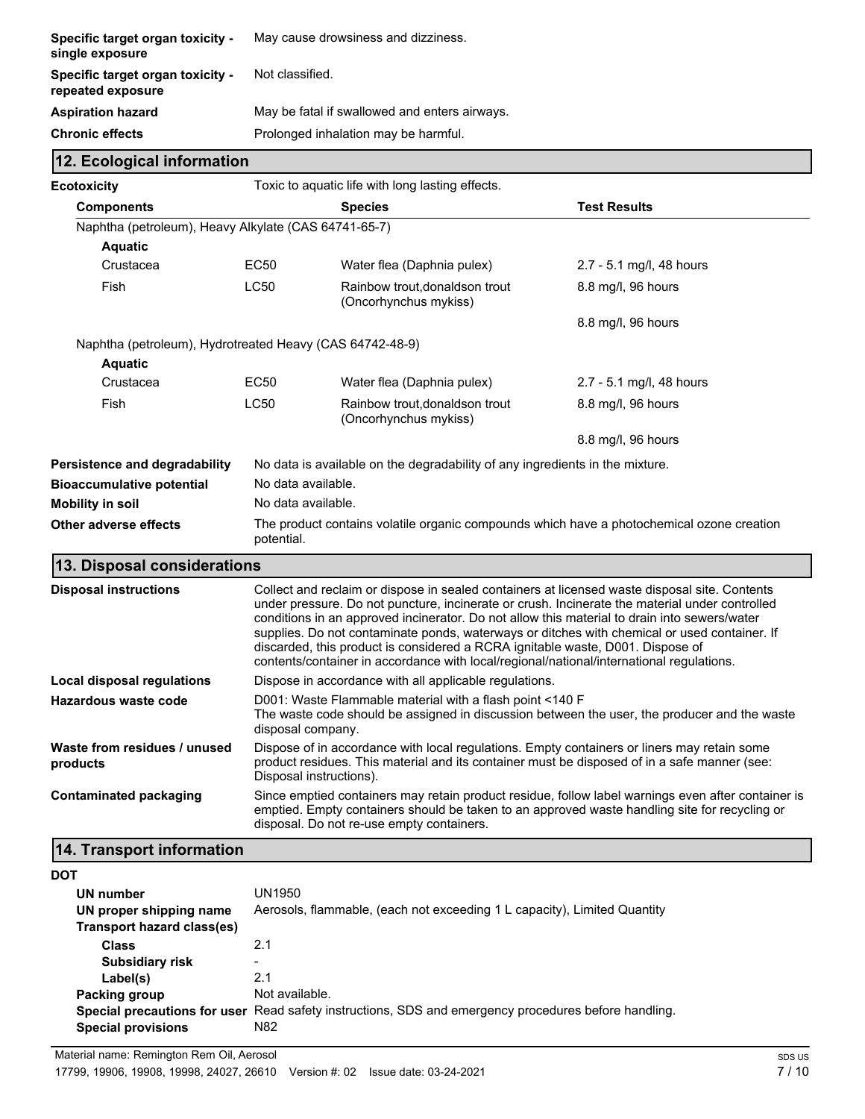| <b>Specific target organ toxicity -</b><br>single exposure   | May cause drowsiness and dizziness.           |
|--------------------------------------------------------------|-----------------------------------------------|
| <b>Specific target organ toxicity -</b><br>repeated exposure | Not classified.                               |
| <b>Aspiration hazard</b>                                     | May be fatal if swallowed and enters airways. |
| Chronic effects                                              | Prolonged inhalation may be harmful.          |

| 12. Ecological information                               |                                                                                                         |                                                                                               |                          |
|----------------------------------------------------------|---------------------------------------------------------------------------------------------------------|-----------------------------------------------------------------------------------------------|--------------------------|
| <b>Ecotoxicity</b>                                       |                                                                                                         | Toxic to aquatic life with long lasting effects.                                              |                          |
| <b>Components</b>                                        |                                                                                                         | <b>Species</b>                                                                                | <b>Test Results</b>      |
| Naphtha (petroleum), Heavy Alkylate (CAS 64741-65-7)     |                                                                                                         |                                                                                               |                          |
| <b>Aquatic</b>                                           |                                                                                                         |                                                                                               |                          |
| Crustacea                                                | EC50                                                                                                    | Water flea (Daphnia pulex)                                                                    | 2.7 - 5.1 mg/l, 48 hours |
| Fish                                                     | <b>LC50</b>                                                                                             | Rainbow trout, donaldson trout<br>(Oncorhynchus mykiss)                                       | 8.8 mg/l, 96 hours       |
|                                                          |                                                                                                         |                                                                                               | 8.8 mg/l, 96 hours       |
| Naphtha (petroleum), Hydrotreated Heavy (CAS 64742-48-9) |                                                                                                         |                                                                                               |                          |
| <b>Aquatic</b>                                           |                                                                                                         |                                                                                               |                          |
| Crustacea                                                | EC <sub>50</sub>                                                                                        | Water flea (Daphnia pulex)                                                                    | 2.7 - 5.1 mg/l, 48 hours |
| Fish                                                     | <b>LC50</b>                                                                                             | Rainbow trout.donaldson trout<br>(Oncorhynchus mykiss)                                        | 8.8 mg/l, 96 hours       |
|                                                          |                                                                                                         |                                                                                               | 8.8 mg/l, 96 hours       |
| Persistence and degradability                            | No data is available on the degradability of any ingredients in the mixture.                            |                                                                                               |                          |
| <b>Bioaccumulative potential</b>                         | No data available.                                                                                      |                                                                                               |                          |
| <b>Mobility in soil</b>                                  |                                                                                                         | No data available.                                                                            |                          |
| Other adverse effects                                    | The product contains volatile organic compounds which have a photochemical ozone creation<br>potential. |                                                                                               |                          |
| 13. Disposal considerations                              |                                                                                                         |                                                                                               |                          |
| <b>Disposal instructions</b>                             |                                                                                                         | Collect and reclaim or dispose in sealed containers at licensed waste disposal site. Contents |                          |

| <b>Disposal instructions</b>             | Collect and reclaim or dispose in sealed containers at licensed waste disposal site. Contents<br>under pressure. Do not puncture, incinerate or crush. Incinerate the material under controlled<br>conditions in an approved incinerator. Do not allow this material to drain into sewers/water<br>supplies. Do not contaminate ponds, waterways or ditches with chemical or used container. If<br>discarded, this product is considered a RCRA ignitable waste, D001. Dispose of<br>contents/container in accordance with local/regional/national/international regulations. |
|------------------------------------------|-------------------------------------------------------------------------------------------------------------------------------------------------------------------------------------------------------------------------------------------------------------------------------------------------------------------------------------------------------------------------------------------------------------------------------------------------------------------------------------------------------------------------------------------------------------------------------|
| Local disposal regulations               | Dispose in accordance with all applicable regulations.                                                                                                                                                                                                                                                                                                                                                                                                                                                                                                                        |
| Hazardous waste code                     | D001: Waste Flammable material with a flash point <140 F<br>The waste code should be assigned in discussion between the user, the producer and the waste<br>disposal company.                                                                                                                                                                                                                                                                                                                                                                                                 |
| Waste from residues / unused<br>products | Dispose of in accordance with local regulations. Empty containers or liners may retain some<br>product residues. This material and its container must be disposed of in a safe manner (see:<br>Disposal instructions).                                                                                                                                                                                                                                                                                                                                                        |
| Contaminated packaging                   | Since emptied containers may retain product residue, follow label warnings even after container is<br>emptied. Empty containers should be taken to an approved waste handling site for recycling or<br>disposal. Do not re-use empty containers.                                                                                                                                                                                                                                                                                                                              |

# **14. Transport information**

| <b>DOT</b>                 |                                                                                                      |
|----------------------------|------------------------------------------------------------------------------------------------------|
| UN number                  | UN1950                                                                                               |
| UN proper shipping name    | Aerosols, flammable, (each not exceeding 1 L capacity), Limited Quantity                             |
| Transport hazard class(es) |                                                                                                      |
| <b>Class</b>               | 2.1                                                                                                  |
| <b>Subsidiary risk</b>     |                                                                                                      |
| Label(s)                   | 2.1                                                                                                  |
| Packing group              | Not available.                                                                                       |
|                            | Special precautions for user Read safety instructions, SDS and emergency procedures before handling. |
| <b>Special provisions</b>  | N82                                                                                                  |
|                            |                                                                                                      |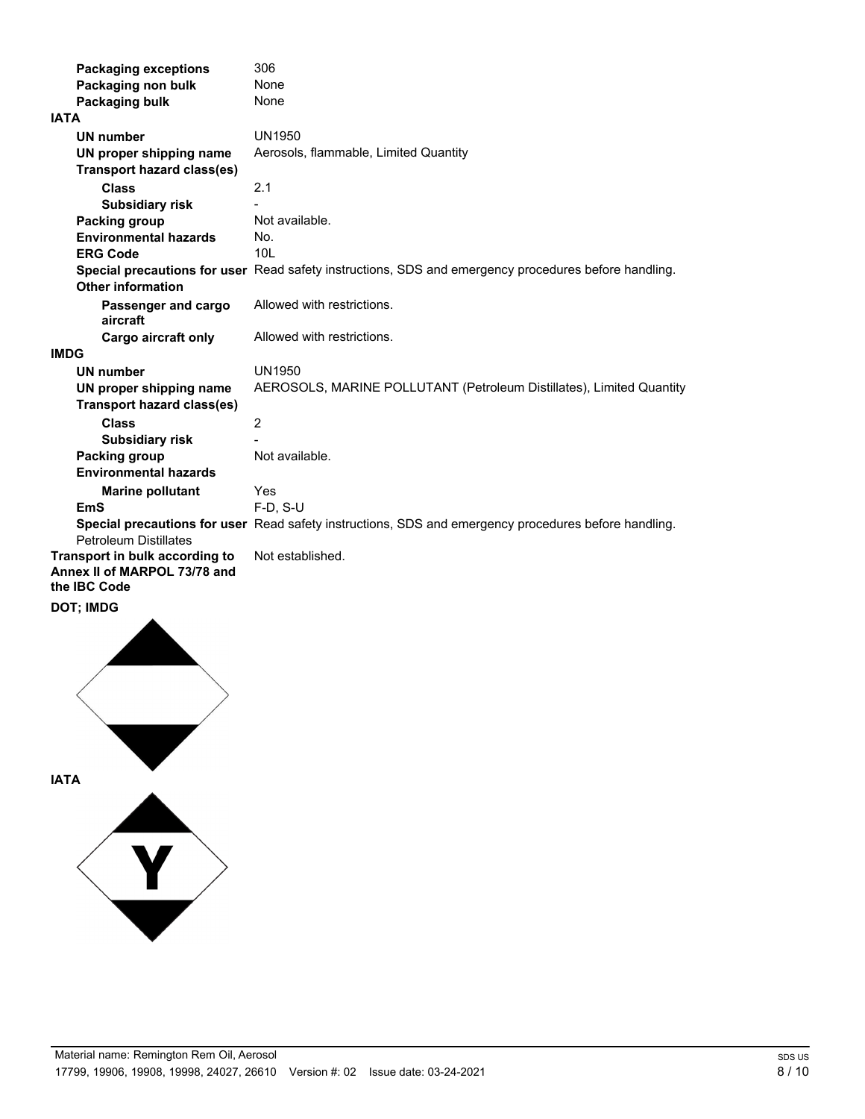| <b>Packaging exceptions</b>                                                    | 306                                                                                                  |
|--------------------------------------------------------------------------------|------------------------------------------------------------------------------------------------------|
| Packaging non bulk                                                             | None                                                                                                 |
| Packaging bulk                                                                 | None                                                                                                 |
| <b>IATA</b>                                                                    |                                                                                                      |
| <b>UN number</b>                                                               | UN1950                                                                                               |
| UN proper shipping name                                                        | Aerosols, flammable, Limited Quantity                                                                |
| <b>Transport hazard class(es)</b>                                              |                                                                                                      |
| <b>Class</b>                                                                   | 2.1                                                                                                  |
| <b>Subsidiary risk</b>                                                         |                                                                                                      |
| Packing group                                                                  | Not available.                                                                                       |
| <b>Environmental hazards</b>                                                   | No.                                                                                                  |
| <b>ERG Code</b>                                                                | 10 <sub>L</sub>                                                                                      |
| <b>Other information</b>                                                       | Special precautions for user Read safety instructions, SDS and emergency procedures before handling. |
| Passenger and cargo<br>aircraft                                                | Allowed with restrictions.                                                                           |
| <b>Cargo aircraft only</b>                                                     | Allowed with restrictions.                                                                           |
| <b>IMDG</b>                                                                    |                                                                                                      |
| <b>UN number</b>                                                               | UN1950                                                                                               |
| UN proper shipping name<br><b>Transport hazard class(es)</b>                   | AEROSOLS, MARINE POLLUTANT (Petroleum Distillates), Limited Quantity                                 |
| <b>Class</b>                                                                   | $\overline{2}$                                                                                       |
| <b>Subsidiary risk</b>                                                         |                                                                                                      |
| Packing group                                                                  | Not available.                                                                                       |
| <b>Environmental hazards</b>                                                   |                                                                                                      |
| <b>Marine pollutant</b>                                                        | Yes                                                                                                  |
| EmS                                                                            | $F-D. S-U$                                                                                           |
| <b>Petroleum Distillates</b>                                                   | Special precautions for user Read safety instructions, SDS and emergency procedures before handling. |
| Transport in bulk according to<br>Annex II of MARPOL 73/78 and<br>the IBC Code | Not established.                                                                                     |
| <b>DOT; IMDG</b>                                                               |                                                                                                      |

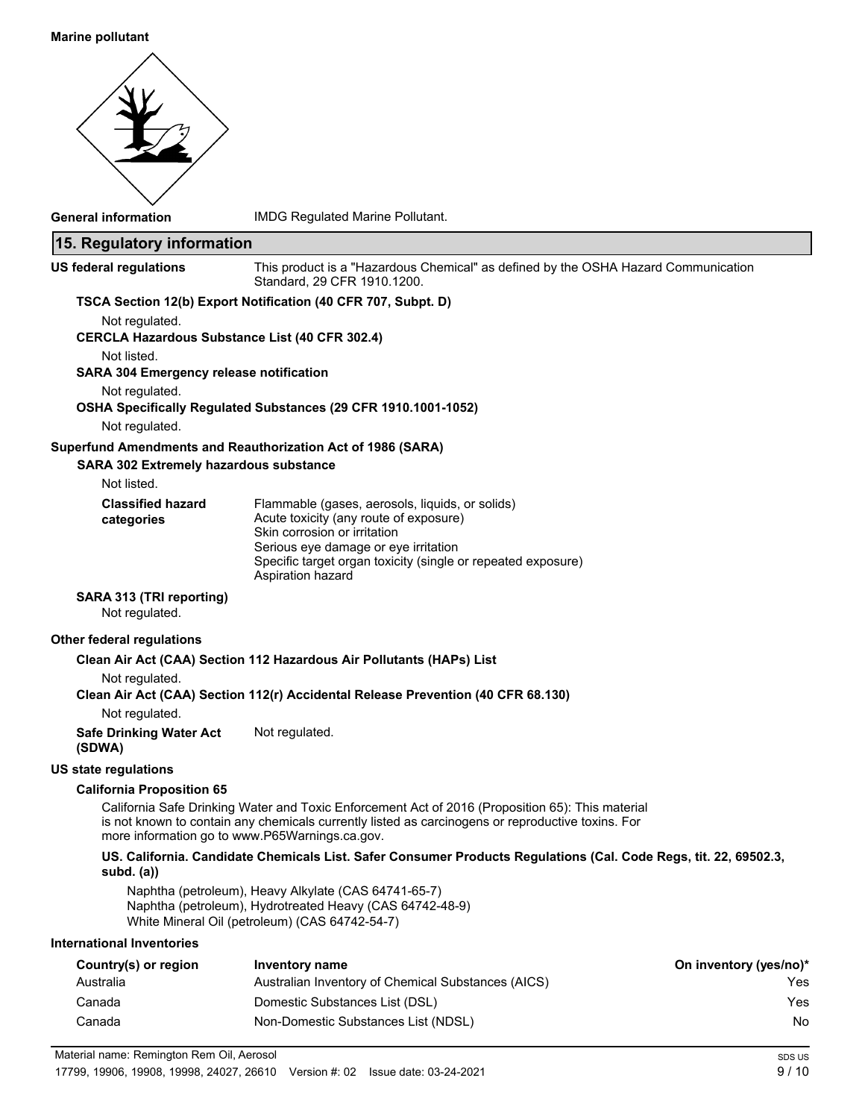### **Marine pollutant**



**General information** IMDG Regulated Marine Pollutant.

| 15. Regulatory information                     |                                                                                                                                                                                                                                                         |                        |
|------------------------------------------------|---------------------------------------------------------------------------------------------------------------------------------------------------------------------------------------------------------------------------------------------------------|------------------------|
| <b>US federal regulations</b>                  | This product is a "Hazardous Chemical" as defined by the OSHA Hazard Communication<br>Standard, 29 CFR 1910.1200.                                                                                                                                       |                        |
|                                                | TSCA Section 12(b) Export Notification (40 CFR 707, Subpt. D)                                                                                                                                                                                           |                        |
| Not regulated.                                 |                                                                                                                                                                                                                                                         |                        |
| Not listed.                                    | <b>CERCLA Hazardous Substance List (40 CFR 302.4)</b>                                                                                                                                                                                                   |                        |
| <b>SARA 304 Emergency release notification</b> |                                                                                                                                                                                                                                                         |                        |
| Not regulated.                                 | OSHA Specifically Regulated Substances (29 CFR 1910.1001-1052)                                                                                                                                                                                          |                        |
| Not regulated.                                 |                                                                                                                                                                                                                                                         |                        |
|                                                | Superfund Amendments and Reauthorization Act of 1986 (SARA)                                                                                                                                                                                             |                        |
| SARA 302 Extremely hazardous substance         |                                                                                                                                                                                                                                                         |                        |
| Not listed.                                    |                                                                                                                                                                                                                                                         |                        |
| <b>Classified hazard</b>                       | Flammable (gases, aerosols, liquids, or solids)<br>Acute toxicity (any route of exposure)                                                                                                                                                               |                        |
| categories                                     | Skin corrosion or irritation                                                                                                                                                                                                                            |                        |
|                                                | Serious eye damage or eye irritation                                                                                                                                                                                                                    |                        |
|                                                | Specific target organ toxicity (single or repeated exposure)<br>Aspiration hazard                                                                                                                                                                       |                        |
| SARA 313 (TRI reporting)<br>Not regulated.     |                                                                                                                                                                                                                                                         |                        |
| Other federal regulations                      |                                                                                                                                                                                                                                                         |                        |
|                                                | Clean Air Act (CAA) Section 112 Hazardous Air Pollutants (HAPs) List                                                                                                                                                                                    |                        |
| Not regulated.                                 | Clean Air Act (CAA) Section 112(r) Accidental Release Prevention (40 CFR 68.130)                                                                                                                                                                        |                        |
| Not regulated.                                 |                                                                                                                                                                                                                                                         |                        |
| <b>Safe Drinking Water Act</b><br>(SDWA)       | Not regulated.                                                                                                                                                                                                                                          |                        |
| <b>US state regulations</b>                    |                                                                                                                                                                                                                                                         |                        |
| <b>California Proposition 65</b>               |                                                                                                                                                                                                                                                         |                        |
|                                                | California Safe Drinking Water and Toxic Enforcement Act of 2016 (Proposition 65): This material<br>is not known to contain any chemicals currently listed as carcinogens or reproductive toxins. For<br>more information go to www.P65Warnings.ca.gov. |                        |
| subd. $(a)$                                    | US. California. Candidate Chemicals List. Safer Consumer Products Regulations (Cal. Code Regs, tit. 22, 69502.3,                                                                                                                                        |                        |
|                                                | Naphtha (petroleum), Heavy Alkylate (CAS 64741-65-7)<br>Naphtha (petroleum), Hydrotreated Heavy (CAS 64742-48-9)<br>White Mineral Oil (petroleum) (CAS 64742-54-7)                                                                                      |                        |
| <b>International Inventories</b>               |                                                                                                                                                                                                                                                         |                        |
| Country(s) or region                           | Inventory name                                                                                                                                                                                                                                          | On inventory (yes/no)* |
| Australia                                      | Australian Inventory of Chemical Substances (AICS)                                                                                                                                                                                                      | Yes                    |
| Canada                                         | Domestic Substances List (DSL)                                                                                                                                                                                                                          | Yes                    |
| Canada                                         | Non-Domestic Substances List (NDSL)                                                                                                                                                                                                                     | No                     |